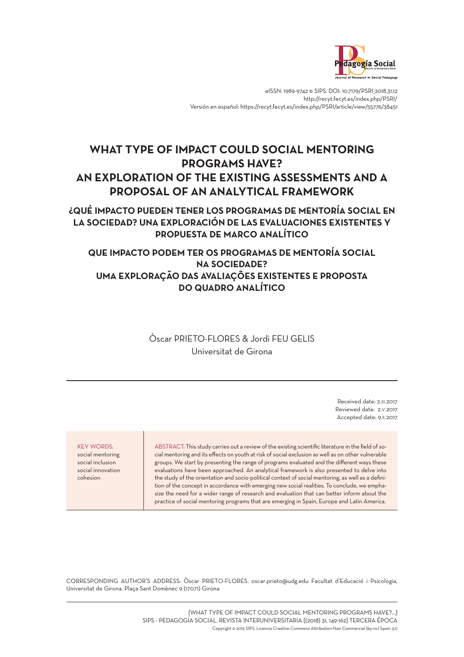

eISSN: 1989-9742 © SIPS. DOI: 10.7179/PSRI\_2018.31.12 http://recyt.fecyt.es/index.php/PSRI/ Versión en español: https://recyt.fecyt.es/index.php/PSRI/article/view/55776/38451

# **WHAT TYPE OF IMPACT COULD SOCIAL MENTORING PROGRAMS HAVE? AN EXPLORATION OF THE EXISTING ASSESSMENTS AND A PROPOSAL OF AN ANALYTICAL FRAMEWORK**

## **¿QUÉ IMPACTO PUEDEN TENER LOS PROGRAMAS DE MENTORÍA SOCIAL EN LA SOCIEDAD? UNA EXPLORACIÓN DE LAS EVALUACIONES EXISTENTES Y PROPUESTA DE MARCO ANALÍTICO**

## **QUE IMPACTO PODEM TER OS PROGRAMAS DE MENTORÍA SOCIAL NA SOCIEDADE? UMA EXPLORAÇÃO DAS AVALIAÇÕES EXISTENTES E PROPOSTA DO QUADRO ANALÍTICO**

Òscar PRIETO-FLORES & Jordi FEU GELIS Universitat de Girona

> Received date: 2.III.2017 Reviewed date: 2.V.2017 Accepted date: 9.X.2017

#### KEY WORDS:

social mentoring social inclusion social innovation cohesion

ABSTRACT: This study carries out a review of the existing scientific literature in the field of social mentoring and its effects on youth at risk of social exclusion as well as on other vulnerable groups. We start by presenting the range of programs evaluated and the different ways these evaluations have been approached. An analytical framework is also presented to delve into the study of the orientation and socio-political context of social mentoring, as well as a definition of the concept in accordance with emerging new social realities. To conclude, we emphasize the need for a wider range of research and evaluation that can better inform about the practice of social mentoring programs that are emerging in Spain, Europe and Latin America.

CORRESPONDING AUTHOR'S ADDRESS: Òscar PRIETO-FLORES. oscar.prieto@udg.edu Facultat d'Educació i Psicologia, Universitat de Girona. Plaça Sant Domènec 9 (17071) Girona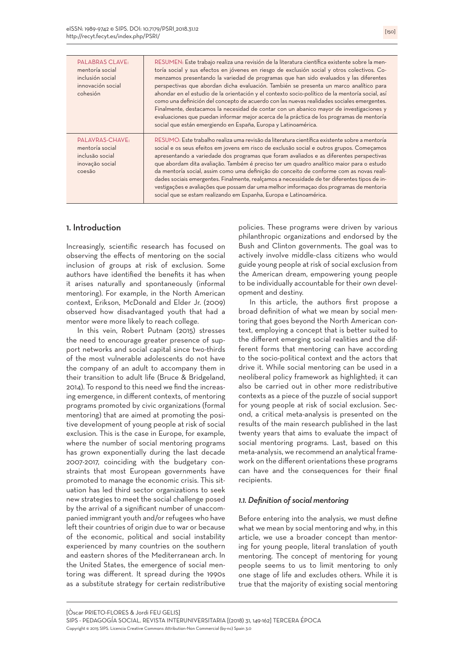| <b>PALABRAS CLAVE:</b><br>mentoría social<br>inclusión social<br>innovación social<br>cohesión | RESUMEN: Este trabajo realiza una revisión de la literatura científica existente sobre la men-<br>toría social y sus efectos en jóvenes en riesgo de exclusión social y otros colectivos. Co-<br>menzamos presentando la variedad de programas que han sido evaluados y las diferentes<br>perspectivas que abordan dicha evaluación. También se presenta un marco analítico para<br>ahondar en el estudio de la orientación y el contexto socio-político de la mentoría social, así<br>como una definición del concepto de acuerdo con las nuevas realidades sociales emergentes.<br>Finalmente, destacamos la necesidad de contar con un abanico mayor de investigaciones y<br>evaluaciones que puedan informar mejor acerca de la práctica de los programas de mentoría<br>social que están emergiendo en España, Europa y Latinoamérica. |
|------------------------------------------------------------------------------------------------|---------------------------------------------------------------------------------------------------------------------------------------------------------------------------------------------------------------------------------------------------------------------------------------------------------------------------------------------------------------------------------------------------------------------------------------------------------------------------------------------------------------------------------------------------------------------------------------------------------------------------------------------------------------------------------------------------------------------------------------------------------------------------------------------------------------------------------------------|
| PALAVRAS-CHAVE:<br>mentoría social<br>inclusão social<br>inovação social<br>coesão             | RESUMO: Este trabalho realiza uma revisão da literatura científica existente sobre a mentoría<br>social e os seus efeitos em jovens em risco de exclusão social e outros grupos. Começamos<br>apresentando a variedade dos programas que foram avaliados e as diferentes perspectivas<br>que abordam dita avaliação. Também é preciso ter um quadro analítico maior para o estudo<br>da mentoría social, assim como uma definição do conceito de conforme com as novas reali-<br>dades sociais emergentes. Finalmente, realçamos a necessidade de ter diferentes tipos de in-<br>vestigações e avaliações que possam dar uma melhor imformação dos programas de mentoria<br>social que se estam realizando em Espanha, Europa e Latinoamérica.                                                                                              |

#### 1. Introduction

Increasingly, scientific research has focused on observing the effects of mentoring on the social inclusion of groups at risk of exclusion. Some authors have identified the benefits it has when it arises naturally and spontaneously (informal mentoring). For example, in the North American context, Erikson, McDonald and Elder Jr. (2009) observed how disadvantaged youth that had a mentor were more likely to reach college.

In this vein, Robert Putnam (2015) stresses the need to encourage greater presence of support networks and social capital since two-thirds of the most vulnerable adolescents do not have the company of an adult to accompany them in their transition to adult life (Bruce & Bridgeland, 2014). To respond to this need we find the increasing emergence, in different contexts, of mentoring programs promoted by civic organizations (formal mentoring) that are aimed at promoting the positive development of young people at risk of social exclusion. This is the case in Europe, for example, where the number of social mentoring programs has grown exponentially during the last decade 2007-2017, coinciding with the budgetary constraints that most European governments have promoted to manage the economic crisis. This situation has led third sector organizations to seek new strategies to meet the social challenge posed by the arrival of a significant number of unaccompanied immigrant youth and/or refugees who have left their countries of origin due to war or because of the economic, political and social instability experienced by many countries on the southern and eastern shores of the Mediterranean arch. In the United States, the emergence of social mentoring was different. It spread during the 1990s as a substitute strategy for certain redistributive

policies. These programs were driven by various philanthropic organizations and endorsed by the Bush and Clinton governments. The goal was to actively involve middle-class citizens who would guide young people at risk of social exclusion from the American dream, empowering young people to be individually accountable for their own development and destiny.

In this article, the authors first propose a broad definition of what we mean by social mentoring that goes beyond the North American context, employing a concept that is better suited to the different emerging social realities and the different forms that mentoring can have according to the socio-political context and the actors that drive it. While social mentoring can be used in a neoliberal policy framework as highlighted; it can also be carried out in other more redistributive contexts as a piece of the puzzle of social support for young people at risk of social exclusion. Second, a critical meta-analysis is presented on the results of the main research published in the last twenty years that aims to evaluate the impact of social mentoring programs. Last, based on this meta-analysis, we recommend an analytical framework on the different orientations these programs can have and the consequences for their final recipients.

#### *1.1. Definition of social mentoring*

Before entering into the analysis, we must define what we mean by social mentoring and why, in this article, we use a broader concept than mentoring for young people, literal translation of youth mentoring. The concept of mentoring for young people seems to us to limit mentoring to only one stage of life and excludes others. While it is true that the majority of existing social mentoring

[Òscar PRIETO-FLORES & Jordi FEU GELIS] SIPS - PEDAGOGÍA SOCIAL. REVISTA INTERUNIVERSITARIA [(2018) 31, 149-162] TERCERA ÉPOCA Copyright © 2015 SIPS. Licencia Creative Commons Attribution-Non Commercial (by-nc) Spain 3.0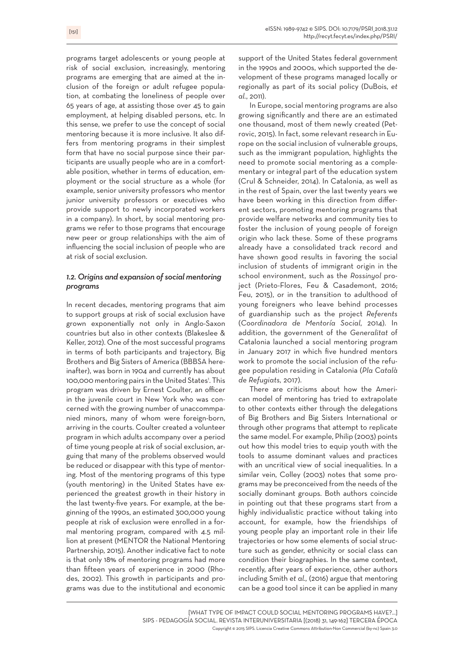programs target adolescents or young people at risk of social exclusion, increasingly, mentoring programs are emerging that are aimed at the inclusion of the foreign or adult refugee population, at combating the loneliness of people over 65 years of age, at assisting those over 45 to gain employment, at helping disabled persons, etc. In this sense, we prefer to use the concept of social mentoring because it is more inclusive. It also differs from mentoring programs in their simplest form that have no social purpose since their participants are usually people who are in a comfortable position, whether in terms of education, employment or the social structure as a whole (for example, senior university professors who mentor junior university professors or executives who provide support to newly incorporated workers in a company). In short, by social mentoring programs we refer to those programs that encourage new peer or group relationships with the aim of influencing the social inclusion of people who are at risk of social exclusion.

#### *1.2. Origins and expansion of social mentoring programs*

In recent decades, mentoring programs that aim to support groups at risk of social exclusion have grown exponentially not only in Anglo-Saxon countries but also in other contexts (Blakeslee & Keller, 2012). One of the most successful programs in terms of both participants and trajectory, Big Brothers and Big Sisters of America (BBBSA hereinafter), was born in 1904 and currently has about 100,000 mentoring pairs in the United States<sup>1</sup>. This program was driven by Ernest Coulter, an officer in the juvenile court in New York who was concerned with the growing number of unaccommpanied minors, many of whom were foreign-born, arriving in the courts. Coulter created a volunteer program in which adults accompany over a period of time young people at risk of social exclusion, arguing that many of the problems observed would be reduced or disappear with this type of mentoring. Most of the mentoring programs of this type (youth mentoring) in the United States have experienced the greatest growth in their history in the last twenty-five years. For example, at the beginning of the 1990s, an estimated 300,000 young people at risk of exclusion were enrolled in a formal mentoring program, compared with 4.5 million at present (MENTOR the National Mentoring Partnership, 2015). Another indicative fact to note is that only 18% of mentoring programs had more than fifteen years of experience in 2000 (Rhodes, 2002). This growth in participants and programs was due to the institutional and economic

support of the United States federal government in the 1990s and 2000s, which supported the development of these programs managed locally or regionally as part of its social policy (DuBois, *et al.*, 2011).

In Europe, social mentoring programs are also growing significantly and there are an estimated one thousand, most of them newly created (Petrovic, 2015). In fact, some relevant research in Europe on the social inclusion of vulnerable groups, such as the immigrant population, highlights the need to promote social mentoring as a complementary or integral part of the education system (Crul & Schneider, 2014). In Catalonia, as well as in the rest of Spain, over the last twenty years we have been working in this direction from different sectors, promoting mentoring programs that provide welfare networks and community ties to foster the inclusion of young people of foreign origin who lack these. Some of these programs already have a consolidated track record and have shown good results in favoring the social inclusion of students of immigrant origin in the school environment, such as the *Rossinyol* project (Prieto-Flores, Feu & Casademont, 2016; Feu, 2015), or in the transition to adulthood of young foreigners who leave behind processes of guardianship such as the project *Referents*  (*Coordinadora de Mentoría Social*, 2014). In addition, the government of the *Generalitat* of Catalonia launched a social mentoring program in January 2017 in which five hundred mentors work to promote the social inclusion of the refugee population residing in Catalonia (*Pla Català de Refugiats,* 2017).

There are criticisms about how the American model of mentoring has tried to extrapolate to other contexts either through the delegations of Big Brothers and Big Sisters International or through other programs that attempt to replicate the same model. For example, Philip (2003) points out how this model tries to equip youth with the tools to assume dominant values and practices with an uncritical view of social inequalities. In a similar vein, Colley (2003) notes that some programs may be preconceived from the needs of the socially dominant groups. Both authors coincide in pointing out that these programs start from a highly individualistic practice without taking into account, for example, how the friendships of young people play an important role in their life trajectories or how some elements of social structure such as gender, ethnicity or social class can condition their biographies. In the same context, recently, after years of experience, other authors including Smith *et al.,* (2016) argue that mentoring can be a good tool since it can be applied in many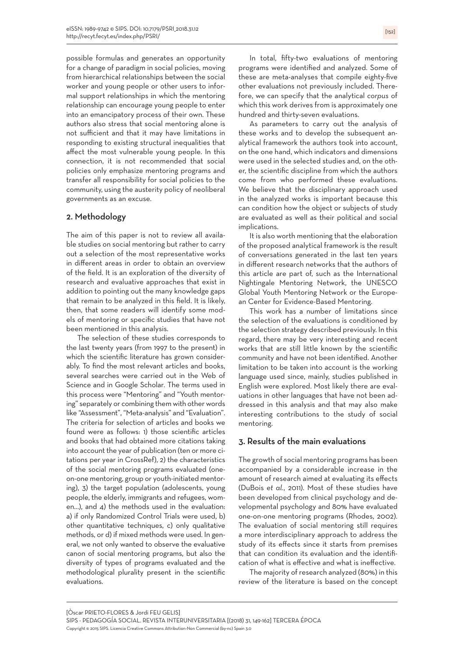possible formulas and generates an opportunity for a change of paradigm in social policies, moving from hierarchical relationships between the social worker and young people or other users to informal support relationships in which the mentoring relationship can encourage young people to enter into an emancipatory process of their own. These authors also stress that social mentoring alone is not sufficient and that it may have limitations in responding to existing structural inequalities that affect the most vulnerable young people. In this connection, it is not recommended that social policies only emphasize mentoring programs and transfer all responsibility for social policies to the community, using the austerity policy of neoliberal governments as an excuse.

### 2. Methodology

The aim of this paper is not to review all available studies on social mentoring but rather to carry out a selection of the most representative works in different areas in order to obtain an overview of the field. It is an exploration of the diversity of research and evaluative approaches that exist in addition to pointing out the many knowledge gaps that remain to be analyzed in this field. It is likely, then, that some readers will identify some models of mentoring or specific studies that have not been mentioned in this analysis.

The selection of these studies corresponds to the last twenty years (from 1997 to the present) in which the scientific literature has grown considerably. To find the most relevant articles and books, several searches were carried out in the Web of Science and in Google Scholar*.* The terms used in this process were "Mentoring" and "Youth mentoring" separately or combining them with other words like "Assessment", "Meta-analysis" and "Evaluation". The criteria for selection of articles and books we found were as follows: 1) those scientific articles and books that had obtained more citations taking into account the year of publication (ten or more citations per year in CrossRef), 2) the characteristics of the social mentoring programs evaluated (oneon-one mentoring, group or youth-initiated mentoring), 3) the target population (adolescents, young people, the elderly, immigrants and refugees, women…), and 4) the methods used in the evaluation: a) if only Randomized Control Trials were used, b) other quantitative techniques, c) only qualitative methods, or d) if mixed methods were used. In general, we not only wanted to observe the evaluative canon of social mentoring programs, but also the diversity of types of programs evaluated and the methodological plurality present in the scientific evaluations.

In total, fifty-two evaluations of mentoring programs were identified and analyzed. Some of these are meta-analyses that compile eighty-five other evaluations not previously included. Therefore, we can specify that the analytical *corpus* of which this work derives from is approximately one hundred and thirty-seven evaluations.

As parameters to carry out the analysis of these works and to develop the subsequent analytical framework the authors took into account, on the one hand, which indicators and dimensions were used in the selected studies and, on the other, the scientific discipline from which the authors come from who performed these evaluations. We believe that the disciplinary approach used in the analyzed works is important because this can condition how the object or subjects of study are evaluated as well as their political and social implications.

It is also worth mentioning that the elaboration of the proposed analytical framework is the result of conversations generated in the last ten years in different research networks that the authors of this article are part of, such as the International Nightingale Mentoring Network, the UNESCO Global Youth Mentoring Network or the European Center for Evidence-Based Mentoring.

This work has a number of limitations since the selection of the evaluations is conditioned by the selection strategy described previously. In this regard, there may be very interesting and recent works that are still little known by the scientific community and have not been identified. Another limitation to be taken into account is the working language used since, mainly, studies published in English were explored. Most likely there are evaluations in other languages that have not been addressed in this analysis and that may also make interesting contributions to the study of social mentoring.

## 3. Results of the main evaluations

The growth of social mentoring programs has been accompanied by a considerable increase in the amount of research aimed at evaluating its effects (DuBois *et al.*, 2011). Most of these studies have been developed from clinical psychology and developmental psychology and 80% have evaluated one-on-one mentoring programs (Rhodes, 2002). The evaluation of social mentoring still requires a more interdisciplinary approach to address the study of its effects since it starts from premises that can condition its evaluation and the identification of what is effective and what is ineffective.

The majority of research analyzed (80%) in this review of the literature is based on the concept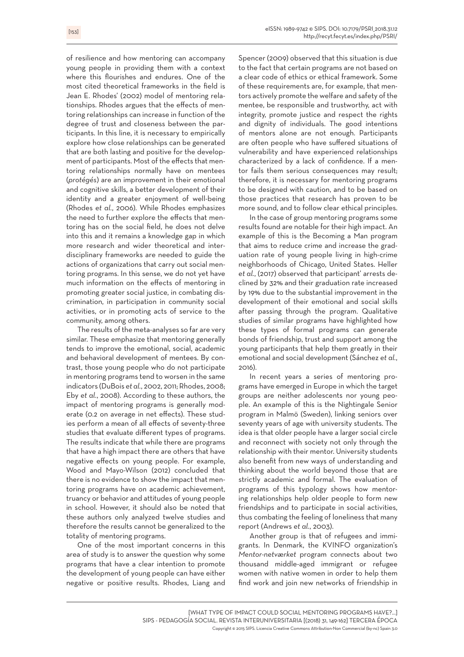of resilience and how mentoring can accompany young people in providing them with a context where this flourishes and endures. One of the most cited theoretical frameworks in the field is Jean E. Rhodes' (2002) model of mentoring relationships. Rhodes argues that the effects of mentoring relationships can increase in function of the degree of trust and closeness between the participants. In this line, it is necessary to empirically explore how close relationships can be generated that are both lasting and positive for the development of participants. Most of the effects that mentoring relationships normally have on mentees (*protégés*) are an improvement in their emotional and cognitive skills, a better development of their identity and a greater enjoyment of well-being (Rhodes *et al.*, 2006). While Rhodes emphasizes the need to further explore the effects that mentoring has on the social field, he does not delve into this and it remains a knowledge gap in which more research and wider theoretical and interdisciplinary frameworks are needed to guide the actions of organizations that carry out social mentoring programs. In this sense, we do not yet have much information on the effects of mentoring in promoting greater social justice, in combating discrimination, in participation in community social activities, or in promoting acts of service to the community, among others.

The results of the meta-analyses so far are very similar. These emphasize that mentoring generally tends to improve the emotional, social, academic and behavioral development of mentees. By contrast, those young people who do not participate in mentoring programs tend to worsen in the same indicators (DuBois *et al.*, 2002, 2011; Rhodes, 2008; Eby *et al.*, 2008). According to these authors, the impact of mentoring programs is generally moderate (0.2 on average in net effects). These studies perform a mean of all effects of seventy-three studies that evaluate different types of programs. The results indicate that while there are programs that have a high impact there are others that have negative effects on young people. For example, Wood and Mayo-Wilson (2012) concluded that there is no evidence to show the impact that mentoring programs have on academic achievement, truancy or behavior and attitudes of young people in school. However, it should also be noted that these authors only analyzed twelve studies and therefore the results cannot be generalized to the totality of mentoring programs.

One of the most important concerns in this area of study is to answer the question why some programs that have a clear intention to promote the development of young people can have either negative or positive results. Rhodes, Liang and

Spencer (2009) observed that this situation is due to the fact that certain programs are not based on a clear code of ethics or ethical framework. Some of these requirements are, for example, that mentors actively promote the welfare and safety of the mentee, be responsible and trustworthy, act with integrity, promote justice and respect the rights and dignity of individuals. The good intentions of mentors alone are not enough. Participants are often people who have suffered situations of vulnerability and have experienced relationships characterized by a lack of confidence. If a mentor fails them serious consequences may result; therefore, it is necessary for mentoring programs to be designed with caution, and to be based on those practices that research has proven to be more sound, and to follow clear ethical principles.

In the case of group mentoring programs some results found are notable for their high impact. An example of this is the Becoming a Man program that aims to reduce crime and increase the graduation rate of young people living in high-crime neighborhoods of Chicago, United States. Heller *et al.*, (2017) observed that participant' arrests declined by 32% and their graduation rate increased by 19% due to the substantial improvement in the development of their emotional and social skills after passing through the program. Qualitative studies of similar programs have highlighted how these types of formal programs can generate bonds of friendship, trust and support among the young participants that help them greatly in their emotional and social development (Sánchez *et al.*, 2016).

In recent years a series of mentoring programs have emerged in Europe in which the target groups are neither adolescents nor young people. An example of this is the Nightingale Senior program in Malmö (Sweden), linking seniors over seventy years of age with university students. The idea is that older people have a larger social circle and reconnect with society not only through the relationship with their mentor. University students also benefit from new ways of understanding and thinking about the world beyond those that are strictly academic and formal. The evaluation of programs of this typology shows how mentoring relationships help older people to form new friendships and to participate in social activities, thus combating the feeling of loneliness that many report (Andrews *et al.*, 2003).

Another group is that of refugees and immigrants. In Denmark, the KVINFO organization's *Mentor-netværket* program connects about two thousand middle-aged immigrant or refugee women with native women in order to help them find work and join new networks of friendship in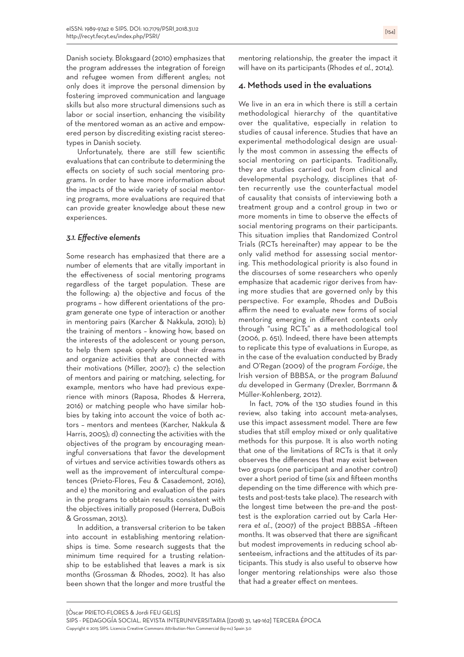Danish society. Bloksgaard (2010) emphasizes that the program addresses the integration of foreign and refugee women from different angles; not only does it improve the personal dimension by fostering improved communication and language skills but also more structural dimensions such as labor or social insertion, enhancing the visibility of the mentored woman as an active and empowered person by discrediting existing racist stereotypes in Danish society.

Unfortunately, there are still few scientific evaluations that can contribute to determining the effects on society of such social mentoring programs. In order to have more information about the impacts of the wide variety of social mentoring programs, more evaluations are required that can provide greater knowledge about these new experiences.

#### *3.1. Effective elements*

Some research has emphasized that there are a number of elements that are vitally important in the effectiveness of social mentoring programs regardless of the target population. These are the following: a) the objective and focus of the programs – how different orientations of the program generate one type of interaction or another in mentoring pairs (Karcher & Nakkula, 2010); b) the training of mentors – knowing how, based on the interests of the adolescent or young person, to help them speak openly about their dreams and organize activities that are connected with their motivations (Miller, 2007); c) the selection of mentors and pairing or matching, selecting, for example, mentors who have had previous experience with minors (Raposa, Rhodes & Herrera, 2016) or matching people who have similar hobbies by taking into account the voice of both actors – mentors and mentees (Karcher, Nakkula & Harris, 2005); d) connecting the activities with the objectives of the program by encouraging meaningful conversations that favor the development of virtues and service activities towards others as well as the improvement of intercultural competences (Prieto-Flores, Feu & Casademont, 2016), and e) the monitoring and evaluation of the pairs in the programs to obtain results consistent with the objectives initially proposed (Herrera, DuBois & Grossman, 2013).

In addition, a transversal criterion to be taken into account in establishing mentoring relationships is time. Some research suggests that the minimum time required for a trusting relationship to be established that leaves a mark is six months (Grossman & Rhodes, 2002). It has also been shown that the longer and more trustful the

mentoring relationship, the greater the impact it will have on its participants (Rhodes *et al.*, 2014).

#### 4. Methods used in the evaluations

We live in an era in which there is still a certain methodological hierarchy of the quantitative over the qualitative, especially in relation to studies of causal inference. Studies that have an experimental methodological design are usually the most common in assessing the effects of social mentoring on participants. Traditionally, they are studies carried out from clinical and developmental psychology, disciplines that often recurrently use the counterfactual model of causality that consists of interviewing both a treatment group and a control group in two or more moments in time to observe the effects of social mentoring programs on their participants. This situation implies that Randomized Control Trials (RCTs hereinafter) may appear to be the only valid method for assessing social mentoring. This methodological priority is also found in the discourses of some researchers who openly emphasize that academic rigor derives from having more studies that are governed only by this perspective. For example, Rhodes and DuBois affirm the need to evaluate new forms of social mentoring emerging in different contexts only through "using RCTs" as a methodological tool (2006, p. 651). Indeed, there have been attempts to replicate this type of evaluations in Europe, as in the case of the evaluation conducted by Brady and O'Regan (2009) of the program *Foróige*, the Irish version of BBBSA, or the program *Baluund du* developed in Germany (Drexler, Borrmann & Müller-Kohlenberg, 2012).

In fact, 70% of the 130 studies found in this review, also taking into account meta-analyses, use this impact assessment model. There are few studies that still employ mixed or only qualitative methods for this purpose. It is also worth noting that one of the limitations of RCTs is that it only observes the differences that may exist between two groups (one participant and another control) over a short period of time (six and fifteen months depending on the time difference with which pretests and post-tests take place). The research with the longest time between the pre-and the posttest is the exploration carried out by Carla Herrera *et al.*, (2007) of the project BBBSA –fifteen months. It was observed that there are significant but modest improvements in reducing school absenteeism, infractions and the attitudes of its participants. This study is also useful to observe how longer mentoring relationships were also those that had a greater effect on mentees.

[Òscar PRIETO-FLORES & Jordi FEU GELIS]

SIPS - PEDAGOGÍA SOCIAL. REVISTA INTERUNIVERSITARIA [(2018) 31, 149-162] TERCERA ÉPOCA Copyright © 2015 SIPS. Licencia Creative Commons Attribution-Non Commercial (by-nc) Spain 3.0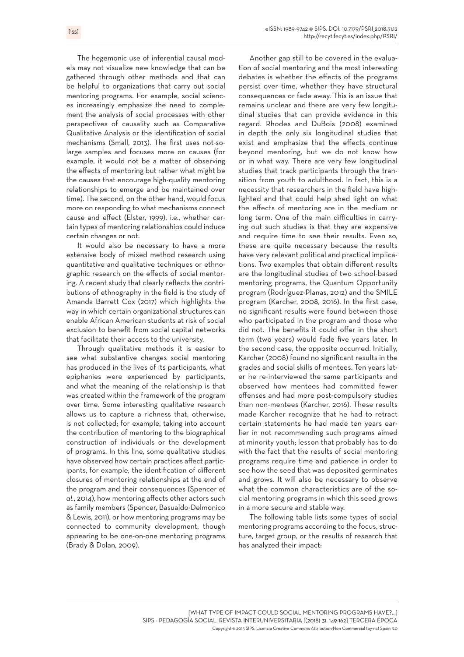The hegemonic use of inferential causal models may not visualize new knowledge that can be gathered through other methods and that can be helpful to organizations that carry out social mentoring programs. For example, social sciences increasingly emphasize the need to complement the analysis of social processes with other perspectives of causality such as Comparative Qualitative Analysis or the identification of social mechanisms (Small, 2013). The first uses not-solarge samples and focuses more on causes (for example, it would not be a matter of observing the effects of mentoring but rather what might be the causes that encourage high-quality mentoring relationships to emerge and be maintained over time). The second, on the other hand, would focus more on responding to what mechanisms connect cause and effect (Elster, 1999), i.e., whether certain types of mentoring relationships could induce certain changes or not.

It would also be necessary to have a more extensive body of mixed method research using quantitative and qualitative techniques or ethnographic research on the effects of social mentoring. A recent study that clearly reflects the contributions of ethnography in the field is the study of Amanda Barrett Cox (2017) which highlights the way in which certain organizational structures can enable African American students at risk of social exclusion to benefit from social capital networks that facilitate their access to the university.

Through qualitative methods it is easier to see what substantive changes social mentoring has produced in the lives of its participants, what epiphanies were experienced by participants, and what the meaning of the relationship is that was created within the framework of the program over time. Some interesting qualitative research allows us to capture a richness that, otherwise, is not collected; for example, taking into account the contribution of mentoring to the biographical construction of individuals or the development of programs. In this line, some qualitative studies have observed how certain practices affect participants, for example, the identification of different closures of mentoring relationships at the end of the program and their consequences (Spencer *et al.*, 2014), how mentoring affects other actors such as family members (Spencer, Basualdo-Delmonico & Lewis, 2011), or how mentoring programs may be connected to community development, though appearing to be one-on-one mentoring programs (Brady & Dolan, 2009).

Another gap still to be covered in the evaluation of social mentoring and the most interesting debates is whether the effects of the programs persist over time, whether they have structural consequences or fade away. This is an issue that remains unclear and there are very few longitudinal studies that can provide evidence in this regard. Rhodes and DuBois (2008) examined in depth the only six longitudinal studies that exist and emphasize that the effects continue beyond mentoring, but we do not know how or in what way. There are very few longitudinal studies that track participants through the transition from youth to adulthood. In fact, this is a necessity that researchers in the field have highlighted and that could help shed light on what the effects of mentoring are in the medium or long term. One of the main difficulties in carrying out such studies is that they are expensive and require time to see their results. Even so, these are quite necessary because the results have very relevant political and practical implications. Two examples that obtain different results are the longitudinal studies of two school-based mentoring programs, the Quantum Opportunity program (Rodríguez-Planas, 2012) and the SMILE program (Karcher, 2008, 2016). In the first case, no significant results were found between those who participated in the program and those who did not. The benefits it could offer in the short term (two years) would fade five years later. In the second case, the opposite occurred. Initially, Karcher (2008) found no significant results in the grades and social skills of mentees. Ten years later he re-interviewed the same participants and observed how mentees had committed fewer offenses and had more post-compulsory studies than non-mentees (Karcher, 2016). These results made Karcher recognize that he had to retract certain statements he had made ten years earlier in not recommending such programs aimed at minority youth; lesson that probably has to do with the fact that the results of social mentoring programs require time and patience in order to see how the seed that was deposited germinates and grows. It will also be necessary to observe what the common characteristics are of the social mentoring programs in which this seed grows in a more secure and stable way.

The following table lists some types of social mentoring programs according to the focus, structure, target group, or the results of research that has analyzed their impact: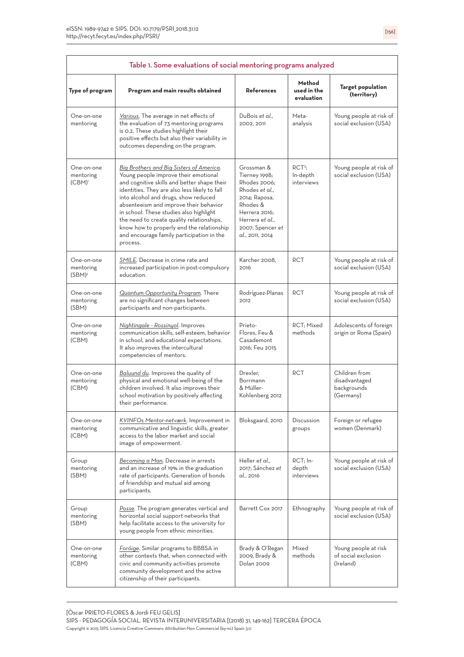| Table 1. Some evaluations of social mentoring programs analyzed |                                                                                                                                                                                                                                                                                                                                                                                                                                                                  |                                                                                                                                                                       |                                             |                                                            |  |  |
|-----------------------------------------------------------------|------------------------------------------------------------------------------------------------------------------------------------------------------------------------------------------------------------------------------------------------------------------------------------------------------------------------------------------------------------------------------------------------------------------------------------------------------------------|-----------------------------------------------------------------------------------------------------------------------------------------------------------------------|---------------------------------------------|------------------------------------------------------------|--|--|
| Type of program                                                 | Program and main results obtained                                                                                                                                                                                                                                                                                                                                                                                                                                | <b>References</b>                                                                                                                                                     | Method<br>used in the<br>evaluation         | <b>Target population</b><br>(territory)                    |  |  |
| One-on-one<br>mentoring                                         | Various. The average in net effects of<br>the evaluation of 73 mentoring programs<br>is 0.2. These studies highlight their<br>positive effects but also their variability in<br>outcomes depending on the program.                                                                                                                                                                                                                                               | DuBois et al.,<br>2002, 2011                                                                                                                                          | Meta-<br>analysis                           | Young people at risk of<br>social exclusion (USA)          |  |  |
| One-on-one<br>mentoring<br>(CBM) <sup>1</sup>                   | Big Brothers and Big Sisters of America.<br>Young people improve their emotional<br>and cognitive skills and better shape their<br>identities. They are also less likely to fall<br>into alcohol and drugs, show reduced<br>absenteeism and improve their behavior<br>in school. These studies also highlight<br>the need to create quality relationships,<br>know how to properly end the relationship<br>and encourage family participation in the<br>process. | Grossman &<br>Tierney 1998;<br>Rhodes 2006:<br>Rhodes et al.,<br>2014; Raposa,<br>Rhodes &<br>Herrera 2016;<br>Herrera et al.,<br>2007; Spencer et<br>al., 2011, 2014 | RCT <sub>3</sub><br>In-depth<br>interviews  | Young people at risk of<br>social exclusion (USA)          |  |  |
| One-on-one<br>mentoring<br>(SBM) <sup>2</sup>                   | SMILE. Decrease in crime rate and<br>increased participation in post-compulsory<br>education.                                                                                                                                                                                                                                                                                                                                                                    | Karcher 2008,<br>2016                                                                                                                                                 | <b>RCT</b>                                  | Young people at risk of<br>social exclusion (USA)          |  |  |
| One-on-one<br>mentoring<br>(SBM)                                | <b>Quantum Opportunity Program.</b> There<br>are no significant changes between<br>participants and non-participants.                                                                                                                                                                                                                                                                                                                                            | Rodríguez-Planas<br>2012                                                                                                                                              | <b>RCT</b>                                  | Young people at risk of<br>social exclusion (USA)          |  |  |
| One-on-one<br>mentoring<br>(CBM)                                | Nightingale - Rossinyol. Improves<br>communication skills, self-esteem, behavior<br>in school, and educational expectations.<br>It also improves the intercultural<br>competencies of mentors.                                                                                                                                                                                                                                                                   | Prieto-<br>Flores. Feu &<br>Casademont<br>2016; Feu 2015                                                                                                              | RCT; Mixed<br>methods                       | Adolescents of foreign<br>origin or Roma (Spain)           |  |  |
| One-on-one<br>mentoring<br>(CBM)                                | Baluund du. Improves the quality of<br>physical and emotional well-being of the<br>children involved. It also improves their<br>school motivation by positively affecting<br>their performance.                                                                                                                                                                                                                                                                  | Drexler.<br>Borrmann<br>& Müller-<br>Kohlenberg 2012                                                                                                                  | <b>RCT</b>                                  | Children from<br>disadvantaged<br>backgrounds<br>(Germany) |  |  |
| One-on-one<br>mentoring<br>(CBM)                                | <u>KVINFOs Mentor-netværk</u> . Improvement in<br>communicative and linguistic skills, greater<br>access to the labor market and social<br>image of empowerment.                                                                                                                                                                                                                                                                                                 | Bloksgaard, 2010                                                                                                                                                      | Discussion<br>groups                        | Foreign or refugee<br>women (Denmark)                      |  |  |
| Group<br>mentoring<br>(SBM)                                     | Becoming a Man. Decrease in arrests<br>and an increase of 19% in the graduation<br>rate of participants. Generation of bonds<br>of friendship and mutual aid among<br>participants.                                                                                                                                                                                                                                                                              | Heller et al.,<br>2017: Sánchez et<br>al., 2016                                                                                                                       | RCT <sub>i</sub> In-<br>depth<br>interviews | Young people at risk of<br>social exclusion (USA)          |  |  |
| Group<br>mentoring<br>(SBM)                                     | Posse. The program generates vertical and<br>horizontal social support networks that<br>help facilitate access to the university for<br>young people from ethnic minorities.                                                                                                                                                                                                                                                                                     | Barrett Cox 2017                                                                                                                                                      | Ethnography                                 | Young people at risk of<br>social exclusion (USA)          |  |  |
| One-on-one<br>mentoring<br>(CBM)                                | Foróige. Similar programs to BBBSA in<br>other contexts that, when connected with<br>civic and community activities promote<br>community development and the active<br>citizenship of their participants.                                                                                                                                                                                                                                                        | Brady & O'Regan<br>2009, Brady &<br><b>Dolan 2009</b>                                                                                                                 | Mixed<br>methods                            | Young people at risk<br>of social exclusion<br>(Ireland)   |  |  |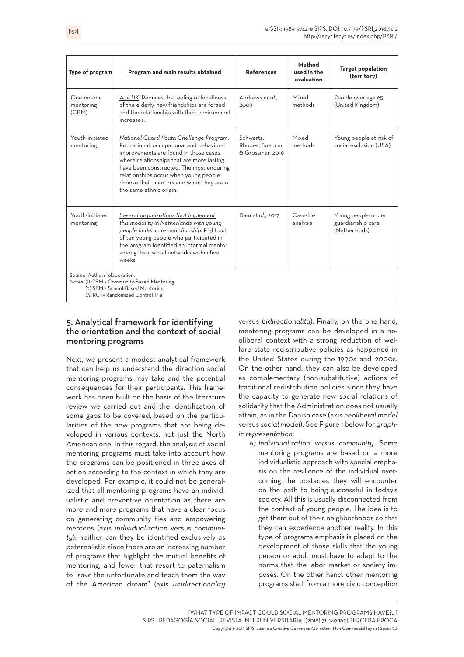| Type of program                                                                                                                                         | Program and main results obtained                                                                                                                                                                                                                                                                                                      | <b>References</b>                               | Method<br>used in the<br>evaluation | <b>Target population</b><br>(territory)                  |  |  |
|---------------------------------------------------------------------------------------------------------------------------------------------------------|----------------------------------------------------------------------------------------------------------------------------------------------------------------------------------------------------------------------------------------------------------------------------------------------------------------------------------------|-------------------------------------------------|-------------------------------------|----------------------------------------------------------|--|--|
| One-on-one<br>mentoring<br>(CBM)                                                                                                                        | Age UK. Reduces the feeling of loneliness<br>of the elderly, new friendships are forged<br>and the relationship with their environment<br>increases.                                                                                                                                                                                   | Andrews et al<br>2003                           | Mixed<br>methods                    | People over age 65<br>(United Kingdom)                   |  |  |
| Youth-initiated<br>mentoring                                                                                                                            | National Guard Youth Challenge Program.<br>Educational, occupational and behavioral<br>improvements are found in those cases<br>where relationships that are more lasting<br>have been constructed. The most enduring<br>relationships occur when young people<br>choose their mentors and when they are of<br>the same ethnic origin. | Schwartz.<br>Rhodes, Spencer<br>& Grossman 2016 | Mixed<br>methods                    | Young people at risk of<br>social exclusion (USA)        |  |  |
| Youth-initiated<br>mentoring                                                                                                                            | Several organizations that implement<br>this modality in Netherlands with young<br>people under care guardianship. Eight out<br>of ten young people who participated in<br>the program identified an informal mentor<br>among their social networks within five<br>weeks.                                                              | Dam et al., 2017                                | Case-file<br>analysis               | Young people under<br>guardianship care<br>(Netherlands) |  |  |
| Source: Authors' elaboration.<br>Notes: (1) CBM = Community-Based Mentoring.<br>(2) SBM = School-Based Mentoring.<br>(3) RCT= Randomized Control Trial. |                                                                                                                                                                                                                                                                                                                                        |                                                 |                                     |                                                          |  |  |

## 5. Analytical framework for identifying the orientation and the context of social mentoring programs

Next, we present a modest analytical framework that can help us understand the direction social mentoring programs may take and the potential consequences for their participants. This framework has been built on the basis of the literature review we carried out and the identification of some gaps to be covered, based on the particularities of the new programs that are being developed in various contexts, not just the North American one. In this regard, the analysis of social mentoring programs must take into account how the programs can be positioned in three axes of action according to the context in which they are developed. For example, it could not be generalized that all mentoring programs have an individualistic and preventive orientation as there are more and more programs that have a clear focus on generating community ties and empowering mentees (axis *individualization* versus *community*); neither can they be identified exclusively as paternalistic since there are an increasing number of programs that highlight the mutual benefits of mentoring, and fewer that resort to paternalism to "save the unfortunate and teach them the way of the American dream" (axis *unidirectionality*  versus *bidirectionality*). Finally, on the one hand, mentoring programs can be developed in a neoliberal context with a strong reduction of welfare state redistributive policies as happened in the United States during the 1990s and 2000s. On the other hand, they can also be developed as complementary (non-substitutive) actions of traditional redistribution policies since they have the capacity to generate new social relations of solidarity that the Administration does not usually attain, as in the Danish case (axis *neoliberal model* versus *social model*). See Figure 1 below for *graphic representation.*

*a) Individualization versus community.* Some mentoring programs are based on a more individualistic approach with special emphasis on the resilience of the individual overcoming the obstacles they will encounter on the path to being successful in today's society. All this is usually disconnected from the context of young people. The idea is to get them out of their neighborhoods so that they can experience another reality. In this type of programs emphasis is placed on the development of those skills that the young person or adult must have to adapt to the norms that the labor market or society imposes. On the other hand, other mentoring programs start from a more civic conception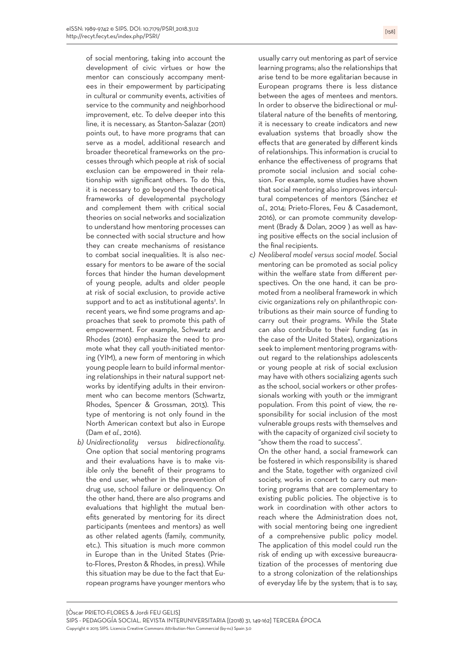of social mentoring, taking into account the development of civic virtues or how the mentor can consciously accompany mentees in their empowerment by participating in cultural or community events, activities of service to the community and neighborhood improvement, etc. To delve deeper into this line, it is necessary, as Stanton-Salazar (2011) points out, to have more programs that can serve as a model, additional research and broader theoretical frameworks on the processes through which people at risk of social exclusion can be empowered in their relationship with significant others. To do this, it is necessary to go beyond the theoretical frameworks of developmental psychology and complement them with critical social theories on social networks and socialization to understand how mentoring processes can be connected with social structure and how they can create mechanisms of resistance to combat social inequalities. It is also necessary for mentors to be aware of the social forces that hinder the human development of young people, adults and older people at risk of social exclusion, to provide active support and to act as institutional agents<sup>2</sup>. In recent years, we find some programs and approaches that seek to promote this path of empowerment. For example, Schwartz and Rhodes (2016) emphasize the need to promote what they call youth-initiated mentoring (YIM), a new form of mentoring in which young people learn to build informal mentoring relationships in their natural support networks by identifying adults in their environment who can become mentors (Schwartz, Rhodes, Spencer & Grossman, 2013). This type of mentoring is not only found in the North American context but also in Europe (Dam *et al.*, 2016).

*b) Unidirectionality versus bidirectionality.*  One option that social mentoring programs and their evaluations have is to make visible only the benefit of their programs to the end user, whether in the prevention of drug use, school failure or delinquency. On the other hand, there are also programs and evaluations that highlight the mutual benefits generated by mentoring for its direct participants (mentees and mentors) as well as other related agents (family, community, etc.). This situation is much more common in Europe than in the United States (Prieto-Flores, Preston & Rhodes, in press). While this situation may be due to the fact that European programs have younger mentors who usually carry out mentoring as part of service learning programs; also the relationships that arise tend to be more egalitarian because in European programs there is less distance between the ages of mentees and mentors. In order to observe the bidirectional or multilateral nature of the benefits of mentoring, it is necessary to create indicators and new evaluation systems that broadly show the effects that are generated by different kinds of relationships. This information is crucial to enhance the effectiveness of programs that promote social inclusion and social cohesion. For example, some studies have shown that social mentoring also improves intercultural competences of mentors (Sánchez *et al.*, 2014; Prieto-Flores, Feu & Casademont, 2016), or can promote community development (Brady & Dolan, 2009 ) as well as having positive effects on the social inclusion of the final recipients.

*c) Neoliberal model versus social model.* Social mentoring can be promoted as social policy within the welfare state from different perspectives. On the one hand, it can be promoted from a neoliberal framework in which civic organizations rely on philanthropic contributions as their main source of funding to carry out their programs. While the State can also contribute to their funding (as in the case of the United States), organizations seek to implement mentoring programs without regard to the relationships adolescents or young people at risk of social exclusion may have with others socializing agents such as the school, social workers or other professionals working with youth or the immigrant population. From this point of view, the responsibility for social inclusion of the most vulnerable groups rests with themselves and with the capacity of organized civil society to "show them the road to success".

On the other hand, a social framework can be fostered in which responsibility is shared and the State, together with organized civil society, works in concert to carry out mentoring programs that are complementary to existing public policies. The objective is to work in coordination with other actors to reach where the Administration does not, with social mentoring being one ingredient of a comprehensive public policy model. The application of this model could run the risk of ending up with excessive bureaucratization of the processes of mentoring due to a strong colonization of the relationships of everyday life by the system; that is to say,

[Òscar PRIETO-FLORES & Jordi FEU GELIS]

SIPS - PEDAGOGÍA SOCIAL. REVISTA INTERUNIVERSITARIA [(2018) 31, 149-162] TERCERA ÉPOCA Copyright © 2015 SIPS. Licencia Creative Commons Attribution-Non Commercial (by-nc) Spain 3.0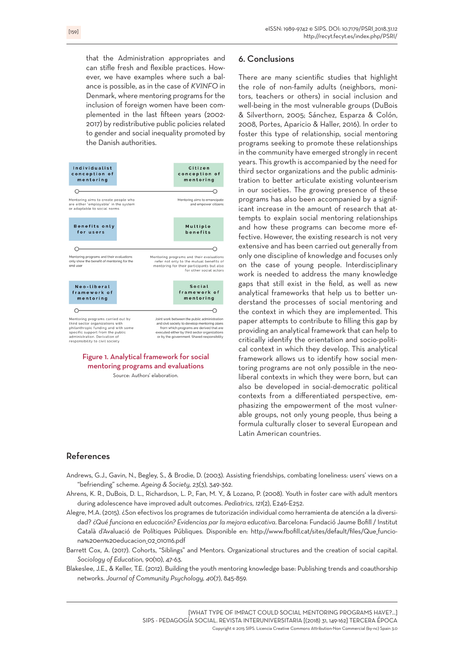that the Administration appropriates and can stifle fresh and flexible practices. However, we have examples where such a balance is possible, as in the case of *KVINFO* in Denmark, where mentoring programs for the inclusion of foreign women have been complemented in the last fifteen years (2002- 2017) by redistributive public policies related to gender and social inequality promoted by the Danish authorities.



Source: Authors' elaboration.

#### 6. Conclusions

There are many scientific studies that highlight the role of non-family adults (neighbors, monitors, teachers or others) in social inclusion and well-being in the most vulnerable groups (DuBois & Silverthorn, 2005; Sánchez, Esparza & Colón, 2008, Portes, Aparicio & Haller, 2016). In order to foster this type of relationship, social mentoring programs seeking to promote these relationships in the community have emerged strongly in recent years. This growth is accompanied by the need for third sector organizations and the public administration to better articulate existing volunteerism in our societies. The growing presence of these programs has also been accompanied by a significant increase in the amount of research that attempts to explain social mentoring relationships and how these programs can become more effective. However, the existing research is not very extensive and has been carried out generally from only one discipline of knowledge and focuses only on the case of young people. Interdisciplinary work is needed to address the many knowledge gaps that still exist in the field, as well as new analytical frameworks that help us to better understand the processes of social mentoring and the context in which they are implemented. This paper attempts to contribute to filling this gap by providing an analytical framework that can help to critically identify the orientation and socio-political context in which they develop. This analytical framework allows us to identify how social mentoring programs are not only possible in the neoliberal contexts in which they were born, but can also be developed in social-democratic political contexts from a differentiated perspective, emphasizing the empowerment of the most vulnerable groups, not only young people, thus being a formula culturally closer to several European and Latin American countries.

#### References

- Andrews, G.J., Gavin, N., Begley, S., & Brodie, D. (2003). Assisting friendships, combating loneliness: users' views on a "befriending" scheme. *Ageing & Society, 23*(3), 349-362.
- Ahrens, K. R., DuBois, D. L., Richardson, L. P., Fan, M. Y., & Lozano, P. (2008). Youth in foster care with adult mentors during adolescence have improved adult outcomes. *Pediatrics, 121*(2), E246-E252.
- Alegre, M.A. (2015). ¿Son efectivos los programes de tutorización individual como herramienta de atención a la diversidad? *¿Qué funciona en educación? Evidencias par la mejora educativa*. Barcelona: Fundació Jaume Bofill / Institut Català d'Avaluació de Polítiques Públiques. Disponible en: http://www.fbofill.cat/sites/default/files/Que\_funciona%20en%20educacion\_02\_010116.pdf
- Barrett Cox, A. (2017). Cohorts, "Siblings" and Mentors. Organizational structures and the creation of social capital. *Sociology of Education, 90*(10), 47-63.
- Blakeslee, J.E., & Keller, T.E. (2012). Building the youth mentoring knowledge base: Publishing trends and coauthorship networks. *Journal of Community Psychology, 40*(7), 845-859.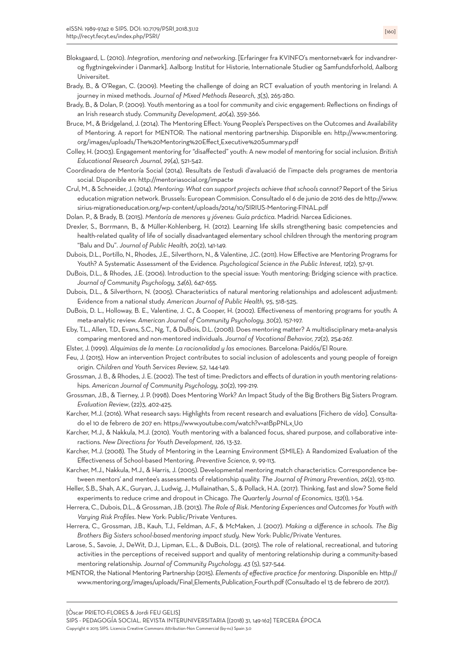- Bloksgaard, L. (2010). *Integration, mentoring and networking*. [Erfaringer fra KVINFO's mentornetværk for indvandrerog flygtningekvinder i Danmark]. Aalborg: Institut for Historie, Internationale Studier og Samfundsforhold, Aalborg Universitet.
- Brady, B., & O'Regan, C. (2009). Meeting the challenge of doing an RCT evaluation of youth mentoring in Ireland: A journey in mixed methods. *Journal of Mixed Methods Research, 3*(3), 265-280.
- Brady, B., & Dolan, P. (2009). Youth mentoring as a tool for community and civic engagement: Reflections on findings of an Irish research study. *Community Development, 40*(4), 359-366.
- Bruce, M., & Bridgeland, J. (2014). The Mentoring Effect: Young People's Perspectives on the Outcomes and Availability of Mentoring. A report for MENTOR: The national mentoring partnership. Disponible en: http://www.mentoring. org/images/uploads/The%20Mentoring%20Effect\_Executive%20Summary.pdf
- Colley, H. (2003). Engagement mentoring for "disaffected" youth: A new model of mentoring for social inclusion. *British Educational Research Journal, 29*(4), 521-542.
- Coordinadora de Mentoría Social (2014). Resultats de l'estudi d'avaluació de l'impacte dels programes de mentoria social. Disponible en: http://mentoriasocial.org/impacte
- Crul, M., & Schneider, J. (2014). *Mentoring: What can support projects achieve that schools cannot?* Report of the Sirius education migration network. Brussels: European Commision. Consultado el 6 de junio de 2016 des de http://www. sirius-migrationeducation.org/wp-content/uploads/2014/10/SIRIUS-Mentoring-FINAL.pdf
- Dolan. P., & Brady, B. (2015). *Mentoría de menores y jóvenes: Guía práctica*. Madrid: Narcea Ediciones.
- Drexler, S., Borrmann, B., & Müller-Kohlenberg, H. (2012). Learning life skills strengthening basic competencies and health-related quality of life of socially disadvantaged elementary school children through the mentoring program "Balu and Du". *Journal of Public Health, 20*(2), 141-149.
- Dubois, D.L., Portillo, N., Rhodes, J.E., Silverthorn, N., & Valentine, J.C. (2011). How Effective are Mentoring Programs for Youth? A Systematic Assessment of the Evidence*. Psychological Science in the Public Interest, 12*(2), 57-91.
- DuBois, D.L., & Rhodes, J.E. (2006). Introduction to the special issue: Youth mentoring: Bridging science with practice. *Journal of Community Psychology, 34*(6), 647-655.
- Dubois, D.L., & Silverthorn, N. (2005). Characteristics of natural mentoring relationships and adolescent adjustment: Evidence from a national study. *American Journal of Public Health, 95*, 518-525.
- DuBois, D. L., Holloway, B. E., Valentine, J. C., & Cooper, H. (2002). Effectiveness of mentoring programs for youth: A meta-analytic review. *American Journal of Community Psychology, 30*(2), 157-197.
- Eby, T.L., Allen, T.D., Evans, S.C., Ng, T., & DuBois, D.L. (2008). Does mentoring matter? A multidisciplinary meta-analysis comparing mentored and non-mentored individuals. *Journal of Vocational Behavior, 72*(2), 254-267.
- Elster, J. (1999). *Alquimias de la mente: La racionalidad y las emociones*. Barcelona: Paidós/El Roure.
- Feu, J. (2015). How an intervention Project contributes to social inclusion of adolescents and young people of foreign origin. *Children and Youth Services Review, 52*, 144-149.
- Grossman, J. B., & Rhodes, J. E. (2002). The test of time: Predictors and effects of duration in youth mentoring relationships. *American Journal of Community Psychology, 30*(2), 199-219.
- Grossman, J.B., & Tierney, J. P. (1998). Does Mentoring Work? An Impact Study of the Big Brothers Big Sisters Program. *Evaluation Review*, (22)3, 402-425.
- Karcher, M.J. (2016). What research says: Highlights from recent research and evaluations [Fichero de vído]. Consultado el 10 de febrero de 207 en: https://www.youtube.com/watch?v=a1BpPNLx\_U0
- Karcher, M.J., & Nakkula, M.J. (2010). Youth mentoring with a balanced focus, shared purpose, and collaborative interactions. *New Directions for Youth Development, 126*, 13-32.
- Karcher, M.J. (2008). The Study of Mentoring in the Learning Environment (SMILE): A Randomized Evaluation of the Effectiveness of School-based Mentoring. *Preventive Science, 9*, 99-113.
- Karcher, M.J., Nakkula, M.J., & Harris, J. (2005). Developmental mentoring match characteristics: Correspondence between mentors' and mentee's assessments of relationship quality. *The Journal of Primary Prevention, 26*(2), 93-110.
- Heller, S.B., Shah, A.K., Guryan, J., Ludwig, J., Mullainathan, S., & Pollack, H.A. (2017). Thinking, fast and slow? Some field experiments to reduce crime and dropout in Chicago. *The Quarterly Journal of Economics, 132*(1), 1-54.
- Herrera, C., Dubois, D.L., & Grossman, J.B. (2013). *The Role of Risk. Mentoring Experiences and Outcomes for Youth with Varying Risk Profiles*. New York: Public/Private Ventures.
- Herrera, C., Grossman, J.B., Kauh, T.J., Feldman, A.F., & McMaken, J. (2007). *Making a difference in schools. The Big Brothers Big Sisters school-based mentoring impact study*. New York: Public/Private Ventures.
- Larose, S., Savoie, J., DeWit, D.J., Lipman, E.L., & DuBois, D.L. (2015). The role of relational, recreational, and tutoring activities in the perceptions of received support and quality of mentoring relationship during a community-based mentoring relationship. *Journal of Community Psychology, 43* (5), 527-544.
- MENTOR, the National Mentoring Partnership (2015). *Elements of effective practice for mentoring*. Disponible en: http:// www.mentoring.org/images/uploads/Final\_Elements\_Publication\_Fourth.pdf (Consultado el 13 de febrero de 2017).

[Òscar PRIETO-FLORES & Jordi FEU GELIS]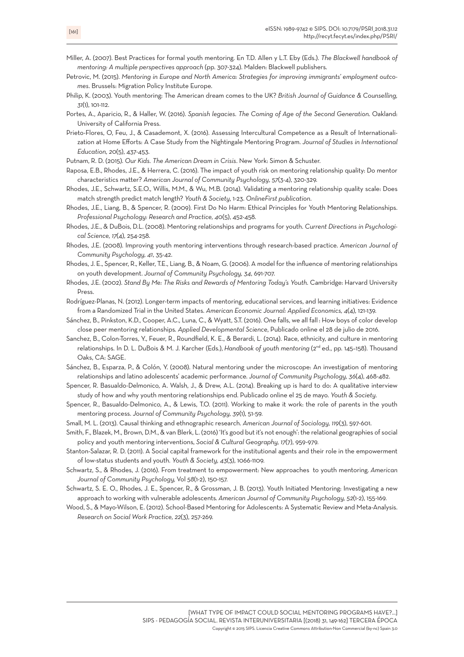- Miller, A. (2007). Best Practices for formal youth mentoring. En T.D. Allen y L.T. Eby (Eds.). *The Blackwell handbook of mentoring: A multiple perspectives approach* (pp. 307-324). Malden: Blackwell publishers.
- Petrovic, M. (2015). *Mentoring in Europe and North America: Strategies for improving immigrants' employment outcomes*. Brussels: Migration Policy Institute Europe.
- Philip, K. (2003). Youth mentoring: The American dream comes to the UK? *British Journal of Guidance & Counselling, 31*(1), 101-112.
- Portes, A., Aparicio, R., & Haller, W. (2016). *Spanish legacies. The Coming of Age of the Second Generation*. Oakland: University of California Press.
- Prieto-Flores, O, Feu, J., & Casademont, X. (2016). Assessing Intercultural Competence as a Result of Internationalization at Home Efforts: A Case Study from the Nightingale Mentoring Program. *Journal of Studies in International Education, 20*(5), 437-453.
- Putnam, R. D. (2015). *Our Kids. The American Dream in Crisis*. New York: Simon & Schuster.
- Raposa, E.B., Rhodes, J.E., & Herrera, C. (2016). The impact of youth risk on mentoring relationship quality: Do mentor characteristics matter? *American Journal of Community Psychology*, *57*(3-4), 320-329.
- Rhodes, J.E., Schwartz, S.E.O., Willis, M.M., & Wu, M.B. (2014). Validating a mentoring relationship quality scale: Does match strength predict match length? *Youth & Society*, 1-23. *OnlineFirst publication*.
- Rhodes, J.E., Liang, B., & Spencer, R. (2009). First Do No Harm: Ethical Principles for Youth Mentoring Relationships. *Professional Psychology: Research and Practice, 40*(5), 452-458.
- Rhodes, J.E., & DuBois, D.L. (2008). Mentoring relationships and programs for youth. *Current Directions in Psychological Science, 17*(4), 254-258.
- Rhodes, J.E. (2008). Improving youth mentoring interventions through research-based practice. *American Journal of Community Psychology, 41*, 35-42.
- Rhodes, J. E., Spencer, R., Keller, T.E., Liang, B., & Noam, G. (2006). A model for the influence of mentoring relationships on youth development. *Journal of Community Psychology, 34*, 691-707.
- Rhodes, J.E. (2002). *Stand By Me: The Risks and Rewards of Mentoring Today's Youth*. Cambridge: Harvard University Press.
- Rodríguez-Planas, N. (2012). Longer-term impacts of mentoring, educational services, and learning initiatives: Evidence from a Randomized Trial in the United States. *American Economic Journal: Applied Economics, 4*(4), 121-139.
- Sánchez, B., Pinkston, K.D., Cooper, A.C., Luna, C., & Wyatt, S.T. (2016). One falls, we all fall : How boys of color develop close peer mentoring relationships*. Applied Developmental Science*, Publicado online el 28 de julio de 2016.
- Sanchez, B., Colon-Torres, Y., Feuer, R., Roundfield, K. E., & Berardi, L. (2014). Race, ethnicity, and culture in mentoring relationships. In D. L. DuBois & M. J. Karcher (Eds.), *Handbook of youth mentoring* (2nd ed., pp. 145–158). Thousand Oaks, CA: SAGE.
- Sánchez, B., Esparza, P., & Colón, Y. (2008). Natural mentoring under the microscope: An investigation of mentoring relationships and latino adolescents' academic performance. *Journal of Community Psychology, 36*(4), 468-482.
- Spencer, R. Basualdo-Delmonico, A. Walsh, J., & Drew, A.L. (2014). Breaking up is hard to do: A qualitative interview study of how and why youth mentoring relationships end. Publicado online el 25 de mayo. *Youth & Society*.
- Spencer, R., Basualdo-Delmonico, A., & Lewis, T.O. (2011). Working to make it work: the role of parents in the youth mentoring process. *Journal of Community Psychology, 39*(1), 51-59.
- Small, M. L. (2013). Causal thinking and ethnographic research. *American Journal of Sociology, 119*(3), 597-601.
- Smith, F., Blazek, M., Brown, D.M., & van Blerk, L. (2016) 'It's good but it's not enough': the relational geographies of social policy and youth mentoring interventions, *Social & Cultural Geography, 17*(7), 959-979.
- Stanton-Salazar, R. D. (2011). A Social capital framework for the institutional agents and their role in the empowerment of low-status students and youth. *Youth & Society, 43*(3), 1066-1109.
- Schwartz, S., & Rhodes, J. (2016). From treatment to empowerment: New approaches to youth mentoring. *American Journal of Community Psychology,* Vol *58*(1-2), 150-157.
- Schwartz, S. E. O., Rhodes, J. E., Spencer, R., & Grossman, J. B. (2013). Youth Initiated Mentoring: Investigating a new approach to working with vulnerable adolescents. *American Journal of Community Psychology, 52*(1-2), 155-169.
- Wood, S., & Mayo-Wilson, E. (2012). School-Based Mentoring for Adolescents: A Systematic Review and Meta-Analysis. *Research on Social Work Practice, 22*(3), 257-269.